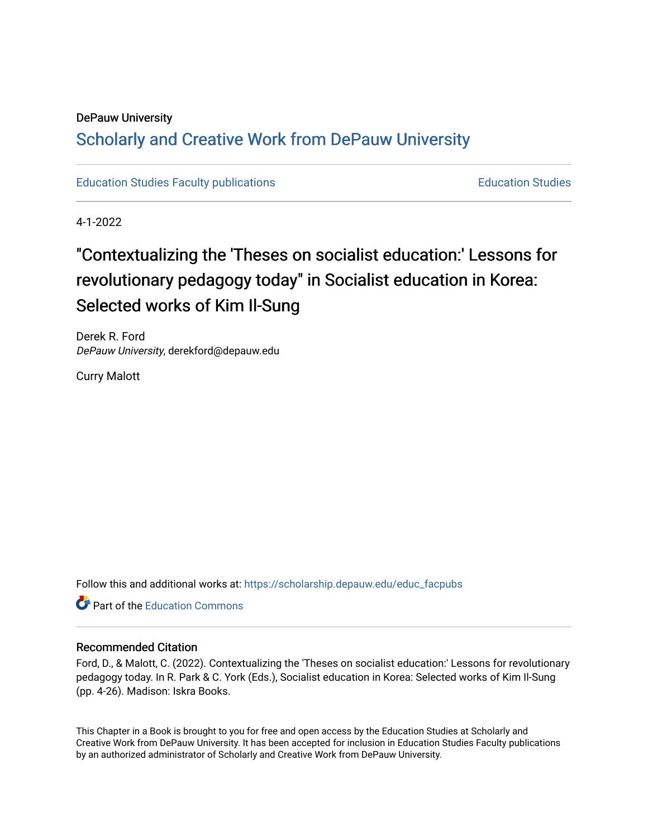## DePauw University

## Scholarly and [Creative Work from DePauw Univ](https://scholarship.depauw.edu/)ersity

[Education Studies Faculty publications](https://scholarship.depauw.edu/educ_facpubs) **Education Studies** Education Studies

4-1-2022

# "Contextualizing the 'Theses on socialist education:' Lessons for revolutionary pedagogy today" in Socialist education in Korea: Selected works of Kim Il-Sung

Derek R. Ford DePauw University, derekford@depauw.edu

Curry Malott

Follow this and additional works at: [https://scholarship.depauw.edu/educ\\_facpubs](https://scholarship.depauw.edu/educ_facpubs?utm_source=scholarship.depauw.edu%2Feduc_facpubs%2F38&utm_medium=PDF&utm_campaign=PDFCoverPages)

**C** Part of the [Education Commons](https://network.bepress.com/hgg/discipline/784?utm_source=scholarship.depauw.edu%2Feduc_facpubs%2F38&utm_medium=PDF&utm_campaign=PDFCoverPages)

#### Recommended Citation

Ford, D., & Malott, C. (2022). Contextualizing the 'Theses on socialist education:' Lessons for revolutionary pedagogy today. In R. Park & C. York (Eds.), Socialist education in Korea: Selected works of Kim Il-Sung (pp. 4-26). Madison: Iskra Books.

This Chapter in a Book is brought to you for free and open access by the Education Studies at Scholarly and Creative Work from DePauw University. It has been accepted for inclusion in Education Studies Faculty publications by an authorized administrator of Scholarly and Creative Work from DePauw University.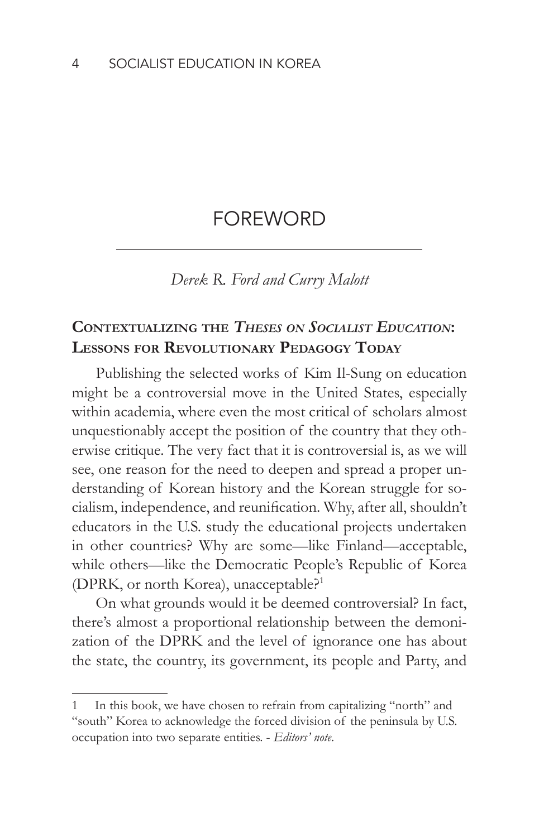### FOREWORD

*Derek R. Ford and Curry Malott*

#### **Contextualizing the** *Theses on Socialist Education***: Lessons for Revolutionary Pedagogy Today**

Publishing the selected works of Kim Il-Sung on education might be a controversial move in the United States, especially within academia, where even the most critical of scholars almost unquestionably accept the position of the country that they otherwise critique. The very fact that it is controversial is, as we will see, one reason for the need to deepen and spread a proper understanding of Korean history and the Korean struggle for socialism, independence, and reunification. Why, after all, shouldn't educators in the U.S. study the educational projects undertaken in other countries? Why are some—like Finland—acceptable, while others—like the Democratic People's Republic of Korea (DPRK, or north Korea), unacceptable?1

On what grounds would it be deemed controversial? In fact, there's almost a proportional relationship between the demonization of the DPRK and the level of ignorance one has about the state, the country, its government, its people and Party, and

<sup>1</sup> In this book, we have chosen to refrain from capitalizing "north" and "south" Korea to acknowledge the forced division of the peninsula by U.S. occupation into two separate entities. - *Editors' note*.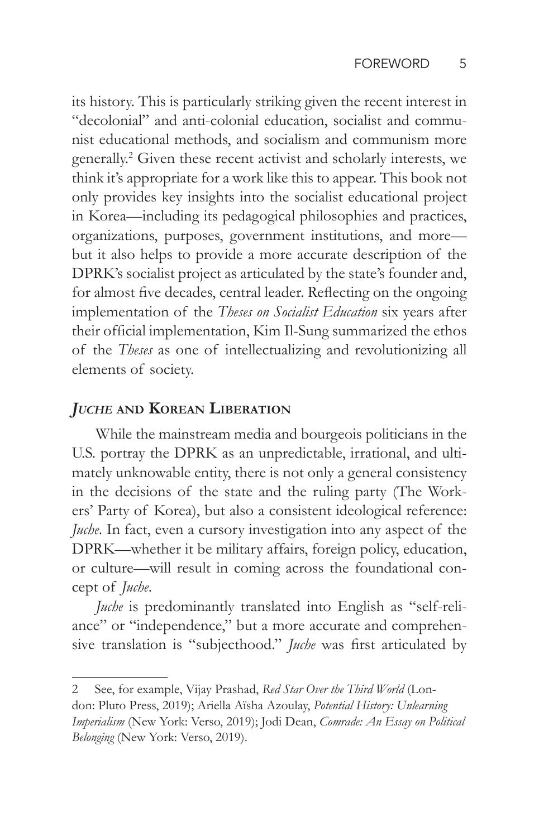its history. This is particularly striking given the recent interest in "decolonial" and anti-colonial education, socialist and communist educational methods, and socialism and communism more generally.<sup>2</sup> Given these recent activist and scholarly interests, we think it's appropriate for a work like this to appear. This book not only provides key insights into the socialist educational project in Korea—including its pedagogical philosophies and practices, organizations, purposes, government institutions, and more but it also helps to provide a more accurate description of the DPRK's socialist project as articulated by the state's founder and, for almost five decades, central leader. Reflecting on the ongoing implementation of the *Theses on Socialist Education* six years after their official implementation, Kim Il-Sung summarized the ethos of the *Theses* as one of intellectualizing and revolutionizing all elements of society.

#### *Juche* **and Korean Liberation**

While the mainstream media and bourgeois politicians in the U.S. portray the DPRK as an unpredictable, irrational, and ultimately unknowable entity, there is not only a general consistency in the decisions of the state and the ruling party (The Workers' Party of Korea), but also a consistent ideological reference: *Juche*. In fact, even a cursory investigation into any aspect of the DPRK—whether it be military affairs, foreign policy, education, or culture—will result in coming across the foundational concept of *Juche*.

*Juche* is predominantly translated into English as "self-reliance" or "independence," but a more accurate and comprehensive translation is "subjecthood." *Juche* was first articulated by

<sup>2</sup> See, for example, Vijay Prashad, *Red Star Over the Third World* (London: Pluto Press, 2019); Ariella Aïsha Azoulay, *Potential History: Unlearning Imperialism* (New York: Verso, 2019); Jodi Dean, *Comrade: An Essay on Political Belonging* (New York: Verso, 2019).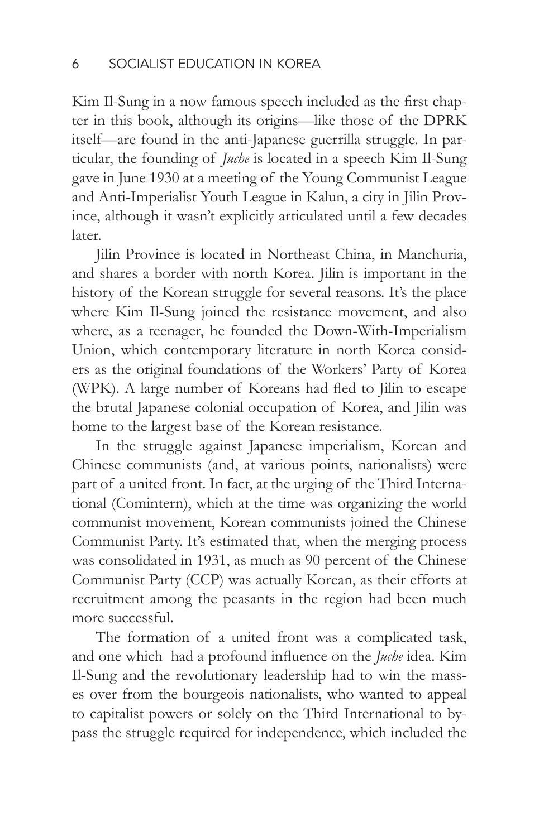Kim Il-Sung in a now famous speech included as the first chapter in this book, although its origins—like those of the DPRK itself—are found in the anti-Japanese guerrilla struggle. In particular, the founding of *Juche* is located in a speech Kim Il-Sung gave in June 1930 at a meeting of the Young Communist League and Anti-Imperialist Youth League in Kalun, a city in Jilin Province, although it wasn't explicitly articulated until a few decades later.

Jilin Province is located in Northeast China, in Manchuria, and shares a border with north Korea. Jilin is important in the history of the Korean struggle for several reasons. It's the place where Kim Il-Sung joined the resistance movement, and also where, as a teenager, he founded the Down-With-Imperialism Union, which contemporary literature in north Korea considers as the original foundations of the Workers' Party of Korea (WPK). A large number of Koreans had fled to Jilin to escape the brutal Japanese colonial occupation of Korea, and Jilin was home to the largest base of the Korean resistance.

In the struggle against Japanese imperialism, Korean and Chinese communists (and, at various points, nationalists) were part of a united front. In fact, at the urging of the Third International (Comintern), which at the time was organizing the world communist movement, Korean communists joined the Chinese Communist Party. It's estimated that, when the merging process was consolidated in 1931, as much as 90 percent of the Chinese Communist Party (CCP) was actually Korean, as their efforts at recruitment among the peasants in the region had been much more successful.

The formation of a united front was a complicated task, and one which had a profound influence on the *Juche* idea. Kim Il-Sung and the revolutionary leadership had to win the masses over from the bourgeois nationalists, who wanted to appeal to capitalist powers or solely on the Third International to bypass the struggle required for independence, which included the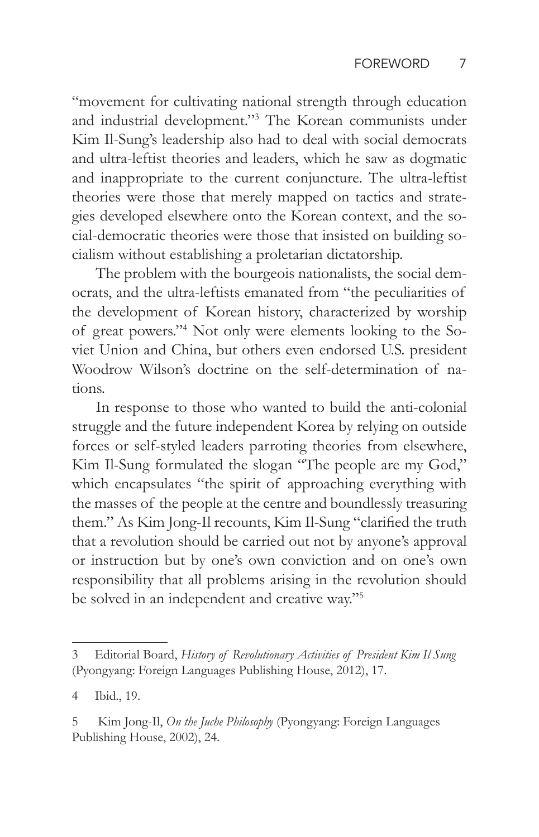"movement for cultivating national strength through education and industrial development."<sup>3</sup> The Korean communists under Kim Il-Sung's leadership also had to deal with social democrats and ultra-leftist theories and leaders, which he saw as dogmatic and inappropriate to the current conjuncture. The ultra-leftist theories were those that merely mapped on tactics and strategies developed elsewhere onto the Korean context, and the social-democratic theories were those that insisted on building socialism without establishing a proletarian dictatorship.

The problem with the bourgeois nationalists, the social democrats, and the ultra-leftists emanated from "the peculiarities of the development of Korean history, characterized by worship of great powers."<sup>4</sup> Not only were elements looking to the Soviet Union and China, but others even endorsed U.S. president Woodrow Wilson's doctrine on the self-determination of nations.

In response to those who wanted to build the anti-colonial struggle and the future independent Korea by relying on outside forces or self-styled leaders parroting theories from elsewhere, Kim Il-Sung formulated the slogan "The people are my God," which encapsulates "the spirit of approaching everything with the masses of the people at the centre and boundlessly treasuring them." As Kim Jong-Il recounts, Kim Il-Sung "clarified the truth that a revolution should be carried out not by anyone's approval or instruction but by one's own conviction and on one's own responsibility that all problems arising in the revolution should be solved in an independent and creative way."<sup>5</sup>

<sup>3</sup> Editorial Board, *History of Revolutionary Activities of President Kim Il Sung*  (Pyongyang: Foreign Languages Publishing House, 2012), 17.

<sup>4</sup> Ibid., 19.

<sup>5</sup> Kim Jong-Il, *On the Juche Philosophy* (Pyongyang: Foreign Languages Publishing House, 2002), 24.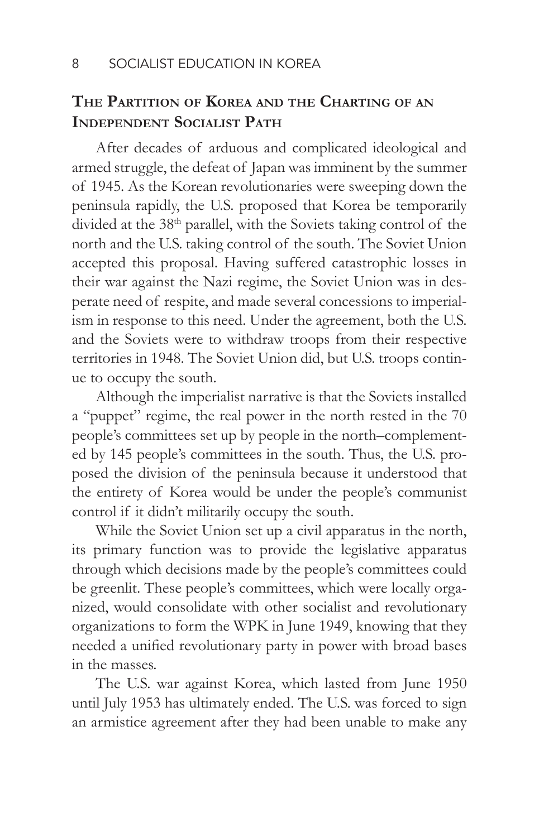#### **The Partition of Korea and the Charting of an Independent Socialist Path**

After decades of arduous and complicated ideological and armed struggle, the defeat of Japan was imminent by the summer of 1945. As the Korean revolutionaries were sweeping down the peninsula rapidly, the U.S. proposed that Korea be temporarily divided at the 38<sup>th</sup> parallel, with the Soviets taking control of the north and the U.S. taking control of the south. The Soviet Union accepted this proposal. Having suffered catastrophic losses in their war against the Nazi regime, the Soviet Union was in desperate need of respite, and made several concessions to imperialism in response to this need. Under the agreement, both the U.S. and the Soviets were to withdraw troops from their respective territories in 1948. The Soviet Union did, but U.S. troops continue to occupy the south.

Although the imperialist narrative is that the Soviets installed a "puppet" regime, the real power in the north rested in the 70 people's committees set up by people in the north–complemented by 145 people's committees in the south. Thus, the U.S. proposed the division of the peninsula because it understood that the entirety of Korea would be under the people's communist control if it didn't militarily occupy the south.

While the Soviet Union set up a civil apparatus in the north, its primary function was to provide the legislative apparatus through which decisions made by the people's committees could be greenlit. These people's committees, which were locally organized, would consolidate with other socialist and revolutionary organizations to form the WPK in June 1949, knowing that they needed a unified revolutionary party in power with broad bases in the masses.

The U.S. war against Korea, which lasted from June 1950 until July 1953 has ultimately ended. The U.S. was forced to sign an armistice agreement after they had been unable to make any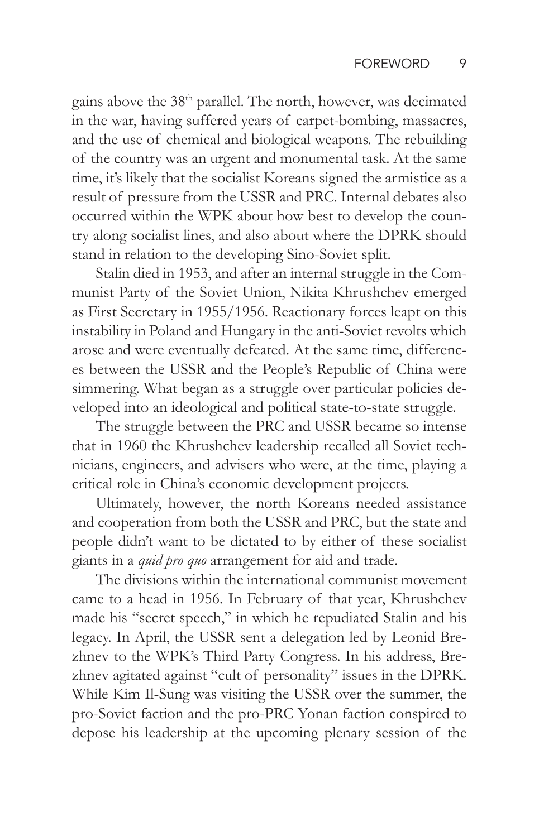gains above the 38<sup>th</sup> parallel. The north, however, was decimated in the war, having suffered years of carpet-bombing, massacres, and the use of chemical and biological weapons. The rebuilding of the country was an urgent and monumental task. At the same time, it's likely that the socialist Koreans signed the armistice as a result of pressure from the USSR and PRC. Internal debates also occurred within the WPK about how best to develop the country along socialist lines, and also about where the DPRK should stand in relation to the developing Sino-Soviet split.

Stalin died in 1953, and after an internal struggle in the Communist Party of the Soviet Union, Nikita Khrushchev emerged as First Secretary in 1955/1956. Reactionary forces leapt on this instability in Poland and Hungary in the anti-Soviet revolts which arose and were eventually defeated. At the same time, differences between the USSR and the People's Republic of China were simmering. What began as a struggle over particular policies developed into an ideological and political state-to-state struggle.

The struggle between the PRC and USSR became so intense that in 1960 the Khrushchev leadership recalled all Soviet technicians, engineers, and advisers who were, at the time, playing a critical role in China's economic development projects.

Ultimately, however, the north Koreans needed assistance and cooperation from both the USSR and PRC, but the state and people didn't want to be dictated to by either of these socialist giants in a *quid pro quo* arrangement for aid and trade.

The divisions within the international communist movement came to a head in 1956. In February of that year, Khrushchev made his "secret speech," in which he repudiated Stalin and his legacy. In April, the USSR sent a delegation led by Leonid Brezhnev to the WPK's Third Party Congress. In his address, Brezhnev agitated against "cult of personality" issues in the DPRK. While Kim Il-Sung was visiting the USSR over the summer, the pro-Soviet faction and the pro-PRC Yonan faction conspired to depose his leadership at the upcoming plenary session of the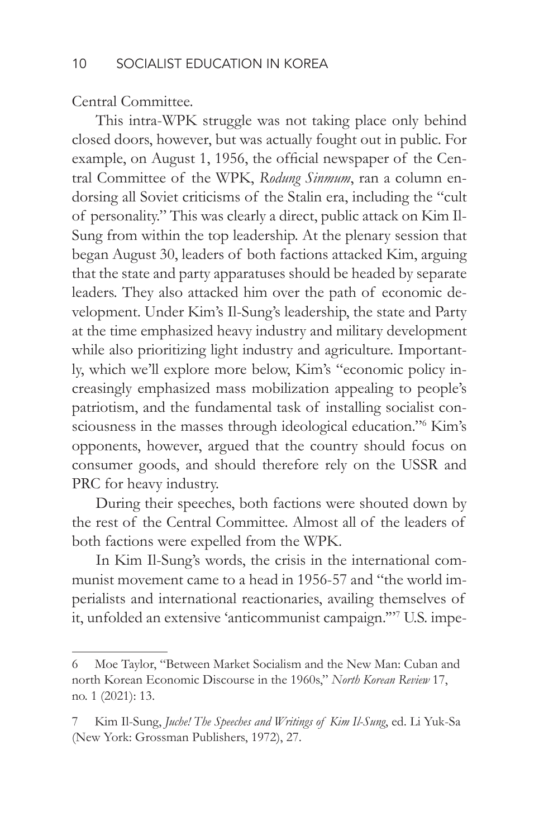Central Committee.

This intra-WPK struggle was not taking place only behind closed doors, however, but was actually fought out in public. For example, on August 1, 1956, the official newspaper of the Central Committee of the WPK, *Rodung Sinmum*, ran a column endorsing all Soviet criticisms of the Stalin era, including the "cult of personality." This was clearly a direct, public attack on Kim Il-Sung from within the top leadership. At the plenary session that began August 30, leaders of both factions attacked Kim, arguing that the state and party apparatuses should be headed by separate leaders. They also attacked him over the path of economic development. Under Kim's Il-Sung's leadership, the state and Party at the time emphasized heavy industry and military development while also prioritizing light industry and agriculture. Importantly, which we'll explore more below, Kim's "economic policy increasingly emphasized mass mobilization appealing to people's patriotism, and the fundamental task of installing socialist consciousness in the masses through ideological education."<sup>6</sup> Kim's opponents, however, argued that the country should focus on consumer goods, and should therefore rely on the USSR and PRC for heavy industry.

During their speeches, both factions were shouted down by the rest of the Central Committee. Almost all of the leaders of both factions were expelled from the WPK.

In Kim Il-Sung's words, the crisis in the international communist movement came to a head in 1956-57 and "the world imperialists and international reactionaries, availing themselves of it, unfolded an extensive 'anticommunist campaign.'"<sup>7</sup> U.S. impe-

<sup>6</sup> Moe Taylor, "Between Market Socialism and the New Man: Cuban and north Korean Economic Discourse in the 1960s," *North Korean Review* 17, no. 1 (2021): 13.

<sup>7</sup> Kim Il-Sung, *Juche! The Speeches and Writings of Kim Il-Sung*, ed. Li Yuk-Sa (New York: Grossman Publishers, 1972), 27.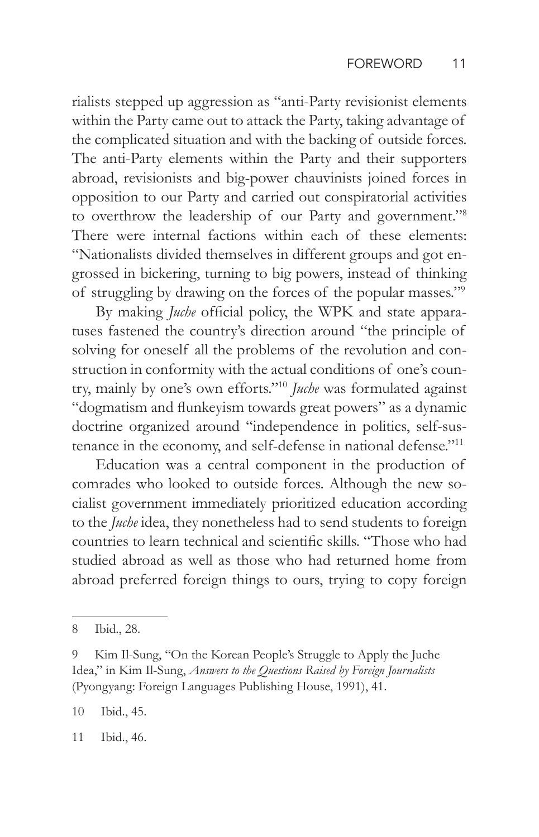rialists stepped up aggression as "anti-Party revisionist elements within the Party came out to attack the Party, taking advantage of the complicated situation and with the backing of outside forces. The anti-Party elements within the Party and their supporters abroad, revisionists and big-power chauvinists joined forces in opposition to our Party and carried out conspiratorial activities to overthrow the leadership of our Party and government."<sup>8</sup> There were internal factions within each of these elements: "Nationalists divided themselves in different groups and got engrossed in bickering, turning to big powers, instead of thinking of struggling by drawing on the forces of the popular masses."<sup>9</sup>

By making *Juche* official policy, the WPK and state apparatuses fastened the country's direction around "the principle of solving for oneself all the problems of the revolution and construction in conformity with the actual conditions of one's country, mainly by one's own efforts."<sup>10</sup> *Juche* was formulated against "dogmatism and flunkeyism towards great powers" as a dynamic doctrine organized around "independence in politics, self-sustenance in the economy, and self-defense in national defense."11

Education was a central component in the production of comrades who looked to outside forces. Although the new socialist government immediately prioritized education according to the *Juche* idea, they nonetheless had to send students to foreign countries to learn technical and scientific skills. "Those who had studied abroad as well as those who had returned home from abroad preferred foreign things to ours, trying to copy foreign

10 Ibid., 45.

11 Ibid., 46.

<sup>8</sup> Ibid., 28.

<sup>9</sup> Kim Il-Sung, "On the Korean People's Struggle to Apply the Juche Idea," in Kim Il-Sung, *Answers to the Questions Raised by Foreign Journalists*  (Pyongyang: Foreign Languages Publishing House, 1991), 41.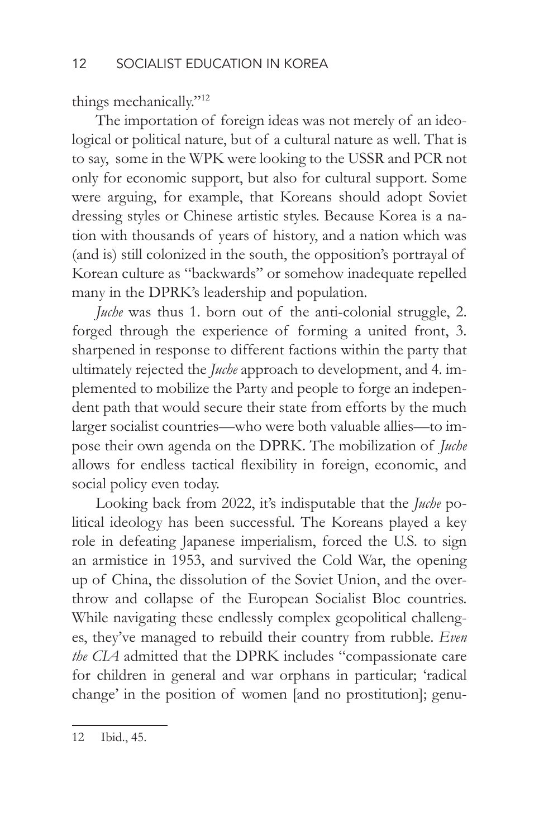things mechanically."<sup>12</sup>

The importation of foreign ideas was not merely of an ideological or political nature, but of a cultural nature as well. That is to say, some in the WPK were looking to the USSR and PCR not only for economic support, but also for cultural support. Some were arguing, for example, that Koreans should adopt Soviet dressing styles or Chinese artistic styles. Because Korea is a nation with thousands of years of history, and a nation which was (and is) still colonized in the south, the opposition's portrayal of Korean culture as "backwards" or somehow inadequate repelled many in the DPRK's leadership and population.

*Juche* was thus 1. born out of the anti-colonial struggle, 2. forged through the experience of forming a united front, 3. sharpened in response to different factions within the party that ultimately rejected the *Juche* approach to development, and 4. implemented to mobilize the Party and people to forge an independent path that would secure their state from efforts by the much larger socialist countries—who were both valuable allies—to impose their own agenda on the DPRK. The mobilization of *Juche* allows for endless tactical flexibility in foreign, economic, and social policy even today.

Looking back from 2022, it's indisputable that the *Juche* political ideology has been successful. The Koreans played a key role in defeating Japanese imperialism, forced the U.S. to sign an armistice in 1953, and survived the Cold War, the opening up of China, the dissolution of the Soviet Union, and the overthrow and collapse of the European Socialist Bloc countries. While navigating these endlessly complex geopolitical challenges, they've managed to rebuild their country from rubble. *Even the CIA* admitted that the DPRK includes "compassionate care for children in general and war orphans in particular; 'radical change' in the position of women [and no prostitution]; genu-

<sup>12</sup> Ibid., 45.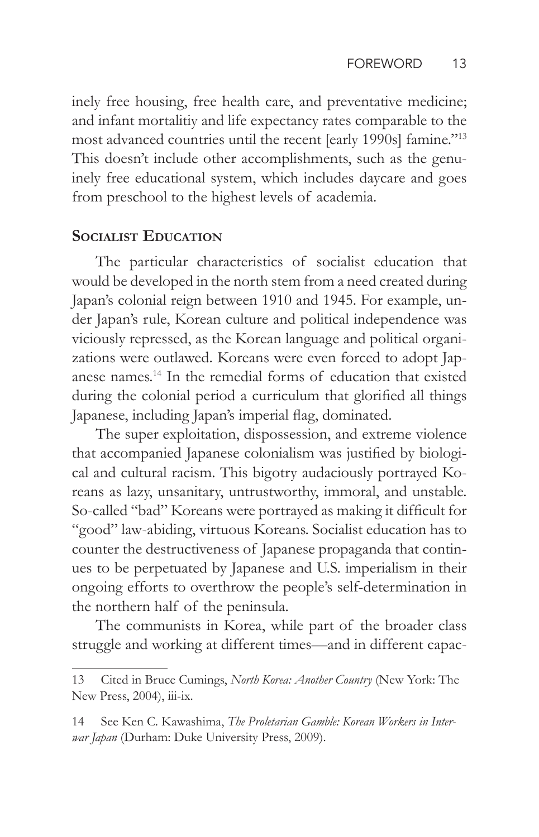inely free housing, free health care, and preventative medicine; and infant mortalitiy and life expectancy rates comparable to the most advanced countries until the recent [early 1990s] famine."<sup>13</sup> This doesn't include other accomplishments, such as the genuinely free educational system, which includes daycare and goes from preschool to the highest levels of academia.

#### **Socialist Education**

The particular characteristics of socialist education that would be developed in the north stem from a need created during Japan's colonial reign between 1910 and 1945. For example, under Japan's rule, Korean culture and political independence was viciously repressed, as the Korean language and political organizations were outlawed. Koreans were even forced to adopt Japanese names.14 In the remedial forms of education that existed during the colonial period a curriculum that glorified all things Japanese, including Japan's imperial flag, dominated.

The super exploitation, dispossession, and extreme violence that accompanied Japanese colonialism was justified by biological and cultural racism. This bigotry audaciously portrayed Koreans as lazy, unsanitary, untrustworthy, immoral, and unstable. So-called "bad" Koreans were portrayed as making it difficult for "good" law-abiding, virtuous Koreans. Socialist education has to counter the destructiveness of Japanese propaganda that continues to be perpetuated by Japanese and U.S. imperialism in their ongoing efforts to overthrow the people's self-determination in the northern half of the peninsula.

The communists in Korea, while part of the broader class struggle and working at different times—and in different capac-

<sup>13</sup> Cited in Bruce Cumings, *North Korea: Another Country* (New York: The New Press, 2004), iii-ix.

<sup>14</sup> See Ken C. Kawashima, *The Proletarian Gamble: Korean Workers in Interwar Japan* (Durham: Duke University Press, 2009).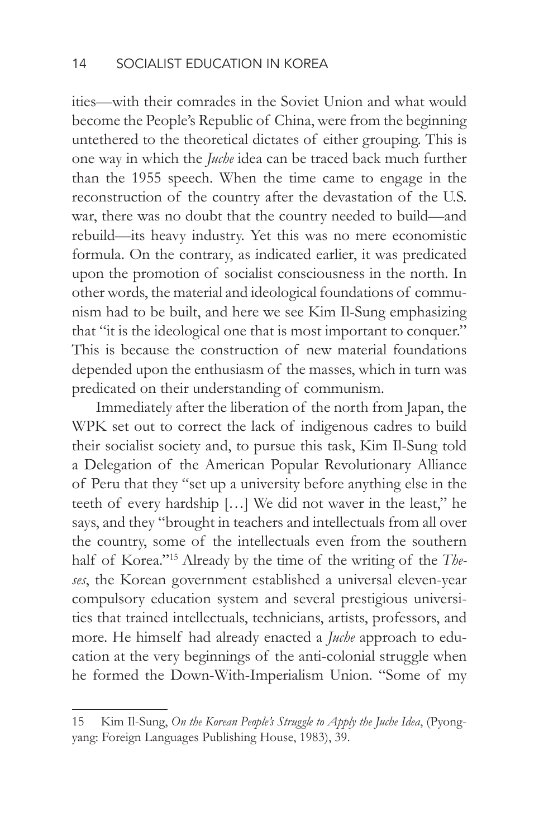ities—with their comrades in the Soviet Union and what would become the People's Republic of China, were from the beginning untethered to the theoretical dictates of either grouping. This is one way in which the *Juche* idea can be traced back much further than the 1955 speech. When the time came to engage in the reconstruction of the country after the devastation of the U.S. war, there was no doubt that the country needed to build—and rebuild—its heavy industry. Yet this was no mere economistic formula. On the contrary, as indicated earlier, it was predicated upon the promotion of socialist consciousness in the north. In other words, the material and ideological foundations of communism had to be built, and here we see Kim Il-Sung emphasizing that "it is the ideological one that is most important to conquer." This is because the construction of new material foundations depended upon the enthusiasm of the masses, which in turn was predicated on their understanding of communism.

Immediately after the liberation of the north from Japan, the WPK set out to correct the lack of indigenous cadres to build their socialist society and, to pursue this task, Kim Il-Sung told a Delegation of the American Popular Revolutionary Alliance of Peru that they "set up a university before anything else in the teeth of every hardship […] We did not waver in the least," he says, and they "brought in teachers and intellectuals from all over the country, some of the intellectuals even from the southern half of Korea."15 Already by the time of the writing of the *Theses*, the Korean government established a universal eleven-year compulsory education system and several prestigious universities that trained intellectuals, technicians, artists, professors, and more. He himself had already enacted a *Juche* approach to education at the very beginnings of the anti-colonial struggle when he formed the Down-With-Imperialism Union. "Some of my

<sup>15</sup> Kim Il-Sung, *On the Korean People's Struggle to Apply the Juche Idea*, (Pyongyang: Foreign Languages Publishing House, 1983), 39.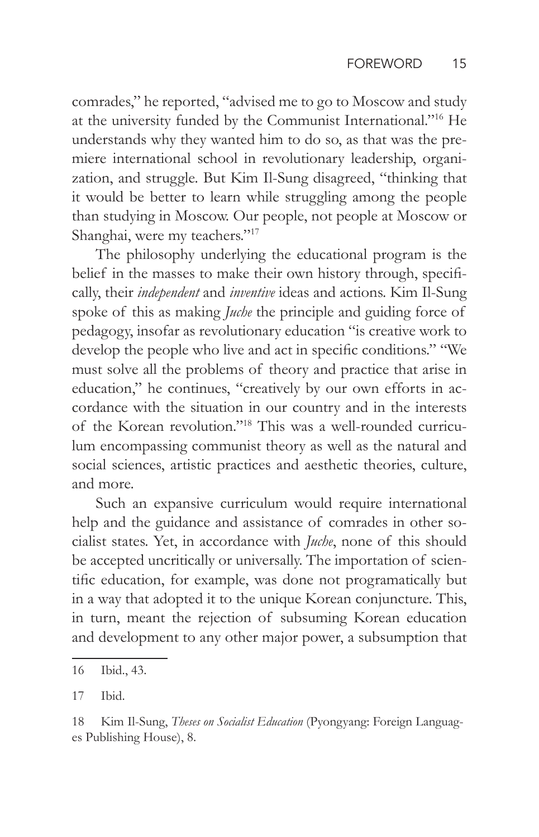comrades," he reported, "advised me to go to Moscow and study at the university funded by the Communist International."16 He understands why they wanted him to do so, as that was the premiere international school in revolutionary leadership, organization, and struggle. But Kim Il-Sung disagreed, "thinking that it would be better to learn while struggling among the people than studying in Moscow. Our people, not people at Moscow or Shanghai, were my teachers."<sup>17</sup>

The philosophy underlying the educational program is the belief in the masses to make their own history through, specifically, their *independent* and *inventive* ideas and actions. Kim Il-Sung spoke of this as making *Juche* the principle and guiding force of pedagogy, insofar as revolutionary education "is creative work to develop the people who live and act in specific conditions." "We must solve all the problems of theory and practice that arise in education," he continues, "creatively by our own efforts in accordance with the situation in our country and in the interests of the Korean revolution."18 This was a well-rounded curriculum encompassing communist theory as well as the natural and social sciences, artistic practices and aesthetic theories, culture, and more.

Such an expansive curriculum would require international help and the guidance and assistance of comrades in other socialist states. Yet, in accordance with *Juche*, none of this should be accepted uncritically or universally. The importation of scientific education, for example, was done not programatically but in a way that adopted it to the unique Korean conjuncture. This, in turn, meant the rejection of subsuming Korean education and development to any other major power, a subsumption that

<sup>16</sup> Ibid., 43.

<sup>17</sup> Ibid.

<sup>18</sup> Kim Il-Sung, *Theses on Socialist Education* (Pyongyang: Foreign Languages Publishing House), 8.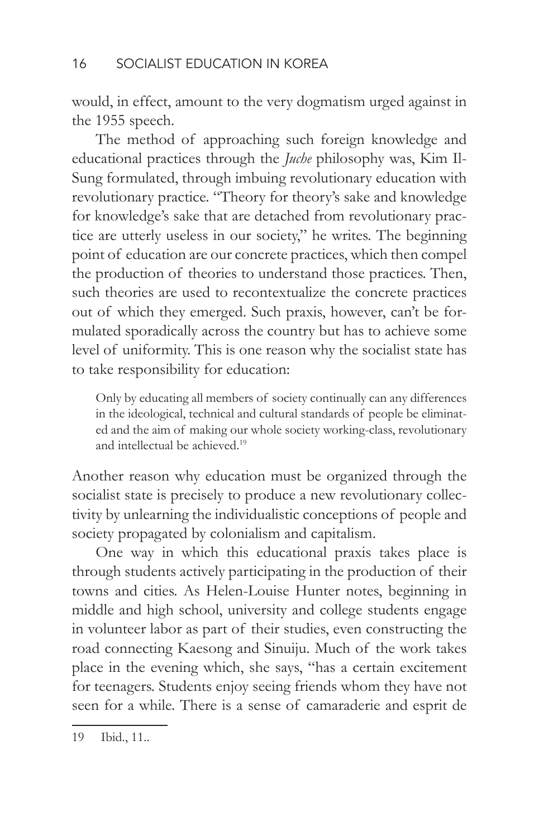would, in effect, amount to the very dogmatism urged against in the 1955 speech.

The method of approaching such foreign knowledge and educational practices through the *Juche* philosophy was, Kim Il-Sung formulated, through imbuing revolutionary education with revolutionary practice. "Theory for theory's sake and knowledge for knowledge's sake that are detached from revolutionary practice are utterly useless in our society," he writes. The beginning point of education are our concrete practices, which then compel the production of theories to understand those practices. Then, such theories are used to recontextualize the concrete practices out of which they emerged. Such praxis, however, can't be formulated sporadically across the country but has to achieve some level of uniformity. This is one reason why the socialist state has to take responsibility for education:

Only by educating all members of society continually can any differences in the ideological, technical and cultural standards of people be eliminated and the aim of making our whole society working-class, revolutionary and intellectual be achieved.19

Another reason why education must be organized through the socialist state is precisely to produce a new revolutionary collectivity by unlearning the individualistic conceptions of people and society propagated by colonialism and capitalism.

One way in which this educational praxis takes place is through students actively participating in the production of their towns and cities. As Helen-Louise Hunter notes, beginning in middle and high school, university and college students engage in volunteer labor as part of their studies, even constructing the road connecting Kaesong and Sinuiju. Much of the work takes place in the evening which, she says, "has a certain excitement for teenagers. Students enjoy seeing friends whom they have not seen for a while. There is a sense of camaraderie and esprit de

<sup>19</sup> Ibid., 11..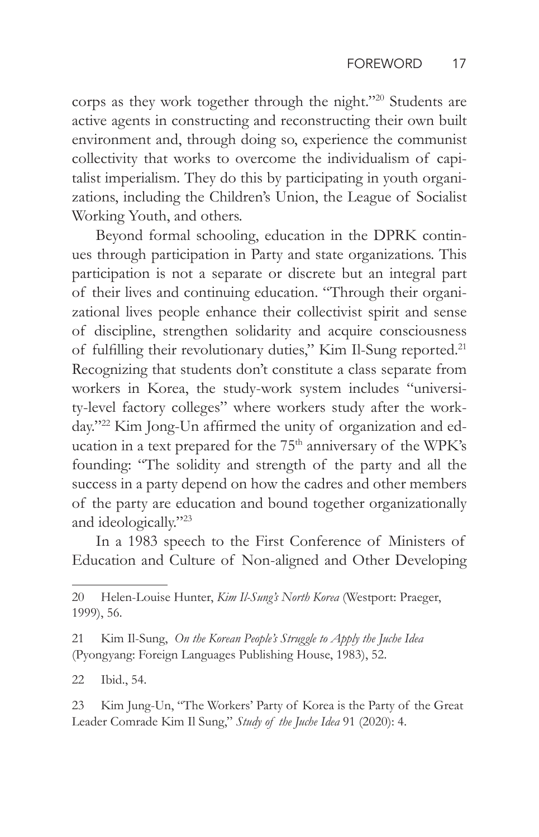corps as they work together through the night."20 Students are active agents in constructing and reconstructing their own built environment and, through doing so, experience the communist collectivity that works to overcome the individualism of capitalist imperialism. They do this by participating in youth organizations, including the Children's Union, the League of Socialist Working Youth, and others.

Beyond formal schooling, education in the DPRK continues through participation in Party and state organizations. This participation is not a separate or discrete but an integral part of their lives and continuing education. "Through their organizational lives people enhance their collectivist spirit and sense of discipline, strengthen solidarity and acquire consciousness of fulfilling their revolutionary duties," Kim Il-Sung reported.<sup>21</sup> Recognizing that students don't constitute a class separate from workers in Korea, the study-work system includes "university-level factory colleges" where workers study after the workday."22 Kim Jong-Un affirmed the unity of organization and education in a text prepared for the 75<sup>th</sup> anniversary of the WPK's founding: "The solidity and strength of the party and all the success in a party depend on how the cadres and other members of the party are education and bound together organizationally and ideologically."<sup>23</sup>

In a 1983 speech to the First Conference of Ministers of Education and Culture of Non-aligned and Other Developing

22 Ibid., 54.

23 Kim Jung-Un, "The Workers' Party of Korea is the Party of the Great Leader Comrade Kim Il Sung," *Study of the Juche Idea* 91 (2020): 4.

<sup>20</sup> Helen-Louise Hunter, *Kim Il-Sung's North Korea* (Westport: Praeger, 1999), 56.

<sup>21</sup> Kim Il-Sung, *On the Korean People's Struggle to Apply the Juche Idea* (Pyongyang: Foreign Languages Publishing House, 1983), 52.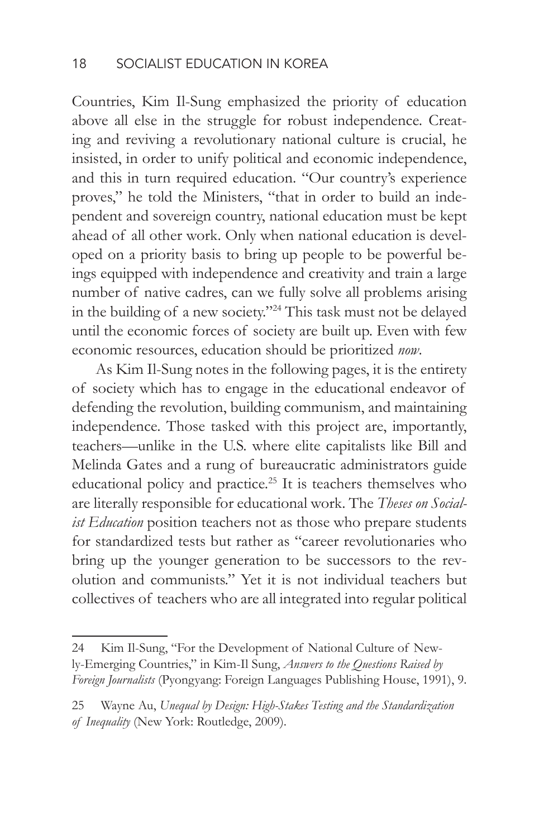Countries, Kim Il-Sung emphasized the priority of education above all else in the struggle for robust independence. Creating and reviving a revolutionary national culture is crucial, he insisted, in order to unify political and economic independence, and this in turn required education. "Our country's experience proves," he told the Ministers, "that in order to build an independent and sovereign country, national education must be kept ahead of all other work. Only when national education is developed on a priority basis to bring up people to be powerful beings equipped with independence and creativity and train a large number of native cadres, can we fully solve all problems arising in the building of a new society."24 This task must not be delayed until the economic forces of society are built up. Even with few economic resources, education should be prioritized *now*.

As Kim Il-Sung notes in the following pages, it is the entirety of society which has to engage in the educational endeavor of defending the revolution, building communism, and maintaining independence. Those tasked with this project are, importantly, teachers—unlike in the U.S. where elite capitalists like Bill and Melinda Gates and a rung of bureaucratic administrators guide educational policy and practice.<sup>25</sup> It is teachers themselves who are literally responsible for educational work. The *Theses on Socialist Education* position teachers not as those who prepare students for standardized tests but rather as "career revolutionaries who bring up the younger generation to be successors to the revolution and communists." Yet it is not individual teachers but collectives of teachers who are all integrated into regular political

<sup>24</sup> Kim Il-Sung, "For the Development of National Culture of Newly-Emerging Countries," in Kim-Il Sung, *Answers to the Questions Raised by Foreign Journalists* (Pyongyang: Foreign Languages Publishing House, 1991), 9.

<sup>25</sup> Wayne Au, *Unequal by Design: High-Stakes Testing and the Standardization of Inequality* (New York: Routledge, 2009).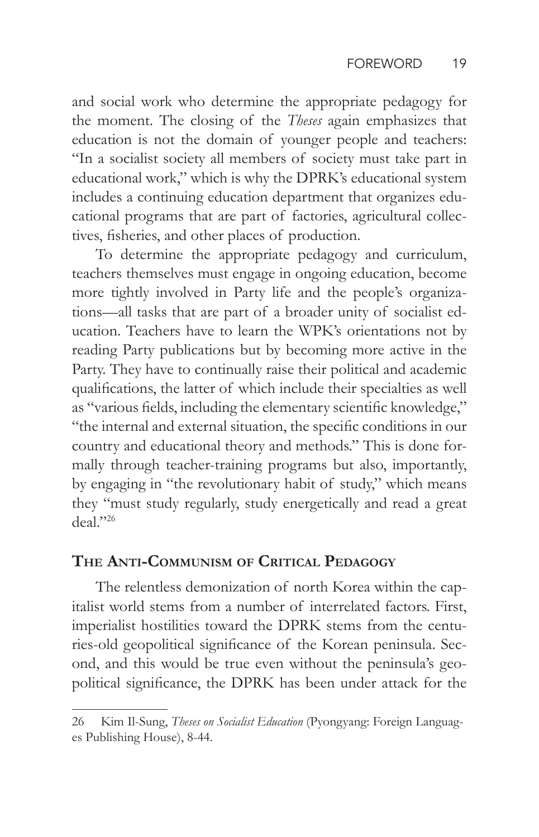and social work who determine the appropriate pedagogy for the moment. The closing of the *Theses* again emphasizes that education is not the domain of younger people and teachers: "In a socialist society all members of society must take part in educational work," which is why the DPRK's educational system includes a continuing education department that organizes educational programs that are part of factories, agricultural collectives, fisheries, and other places of production.

To determine the appropriate pedagogy and curriculum, teachers themselves must engage in ongoing education, become more tightly involved in Party life and the people's organizations—all tasks that are part of a broader unity of socialist education. Teachers have to learn the WPK's orientations not by reading Party publications but by becoming more active in the Party. They have to continually raise their political and academic qualifications, the latter of which include their specialties as well as "various fields, including the elementary scientific knowledge," "the internal and external situation, the specific conditions in our country and educational theory and methods." This is done formally through teacher-training programs but also, importantly, by engaging in "the revolutionary habit of study," which means they "must study regularly, study energetically and read a great deal."<sup>26</sup>

#### **The Anti-Communism of Critical Pedagogy**

The relentless demonization of north Korea within the capitalist world stems from a number of interrelated factors. First, imperialist hostilities toward the DPRK stems from the centuries-old geopolitical significance of the Korean peninsula. Second, and this would be true even without the peninsula's geopolitical significance, the DPRK has been under attack for the

<sup>26</sup> Kim Il-Sung, *Theses on Socialist Education* (Pyongyang: Foreign Languages Publishing House), 8-44.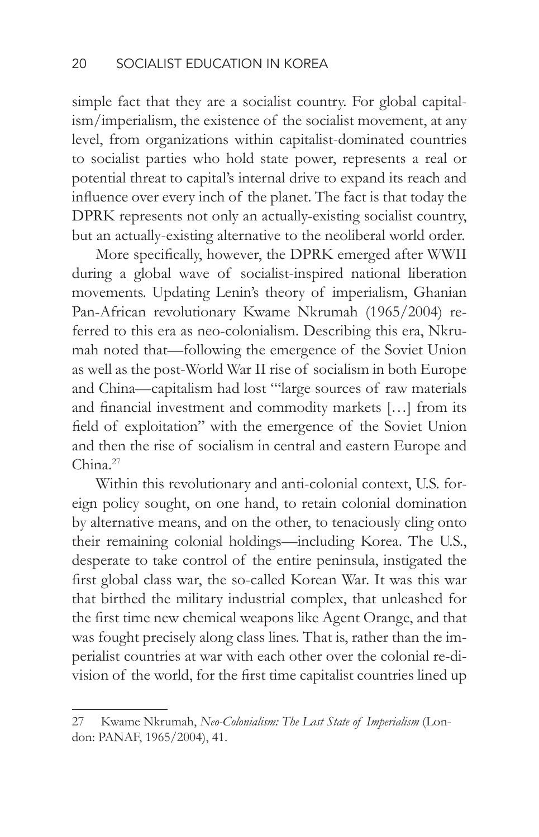simple fact that they are a socialist country. For global capitalism/imperialism, the existence of the socialist movement, at any level, from organizations within capitalist-dominated countries to socialist parties who hold state power, represents a real or potential threat to capital's internal drive to expand its reach and influence over every inch of the planet. The fact is that today the DPRK represents not only an actually-existing socialist country, but an actually-existing alternative to the neoliberal world order.

More specifically, however, the DPRK emerged after WWII during a global wave of socialist-inspired national liberation movements. Updating Lenin's theory of imperialism, Ghanian Pan-African revolutionary Kwame Nkrumah (1965/2004) referred to this era as neo-colonialism. Describing this era, Nkrumah noted that—following the emergence of the Soviet Union as well as the post-World War II rise of socialism in both Europe and China—capitalism had lost "'large sources of raw materials and financial investment and commodity markets […] from its field of exploitation" with the emergence of the Soviet Union and then the rise of socialism in central and eastern Europe and China<sup>27</sup>

Within this revolutionary and anti-colonial context, U.S. foreign policy sought, on one hand, to retain colonial domination by alternative means, and on the other, to tenaciously cling onto their remaining colonial holdings—including Korea. The U.S., desperate to take control of the entire peninsula, instigated the first global class war, the so-called Korean War. It was this war that birthed the military industrial complex, that unleashed for the first time new chemical weapons like Agent Orange, and that was fought precisely along class lines. That is, rather than the imperialist countries at war with each other over the colonial re-division of the world, for the first time capitalist countries lined up

<sup>27</sup> Kwame Nkrumah, *Neo-Colonialism: The Last State of Imperialism* (London: PANAF, 1965/2004), 41.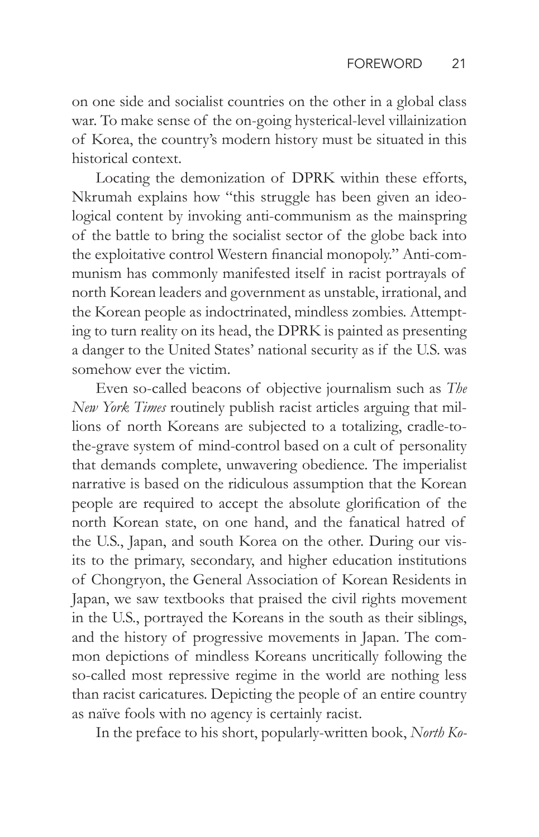on one side and socialist countries on the other in a global class war. To make sense of the on-going hysterical-level villainization of Korea, the country's modern history must be situated in this historical context.

Locating the demonization of DPRK within these efforts, Nkrumah explains how "this struggle has been given an ideological content by invoking anti-communism as the mainspring of the battle to bring the socialist sector of the globe back into the exploitative control Western financial monopoly." Anti-communism has commonly manifested itself in racist portrayals of north Korean leaders and government as unstable, irrational, and the Korean people as indoctrinated, mindless zombies. Attempting to turn reality on its head, the DPRK is painted as presenting a danger to the United States' national security as if the U.S. was somehow ever the victim.

Even so-called beacons of objective journalism such as *The New York Times* routinely publish racist articles arguing that millions of north Koreans are subjected to a totalizing, cradle-tothe-grave system of mind-control based on a cult of personality that demands complete, unwavering obedience. The imperialist narrative is based on the ridiculous assumption that the Korean people are required to accept the absolute glorification of the north Korean state, on one hand, and the fanatical hatred of the U.S., Japan, and south Korea on the other. During our visits to the primary, secondary, and higher education institutions of Chongryon, the General Association of Korean Residents in Japan, we saw textbooks that praised the civil rights movement in the U.S., portrayed the Koreans in the south as their siblings, and the history of progressive movements in Japan. The common depictions of mindless Koreans uncritically following the so-called most repressive regime in the world are nothing less than racist caricatures. Depicting the people of an entire country as naïve fools with no agency is certainly racist.

In the preface to his short, popularly-written book, *North Ko-*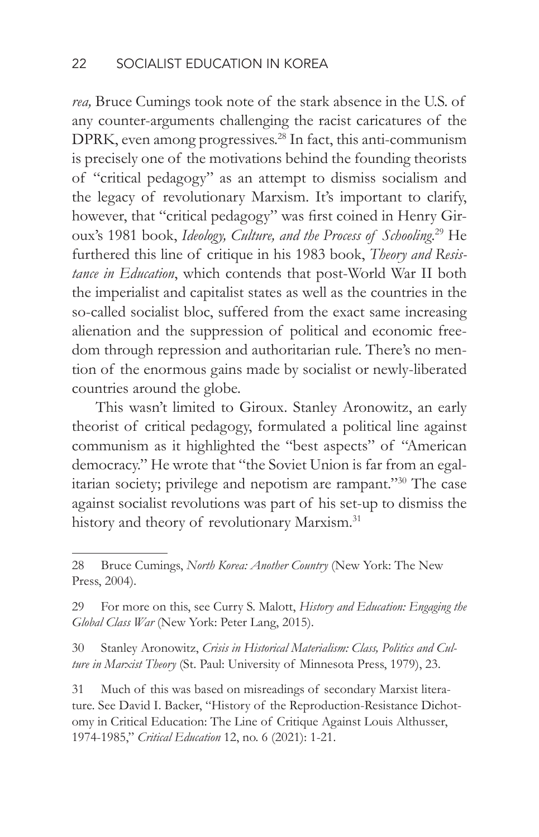*rea,* Bruce Cumings took note of the stark absence in the U.S. of any counter-arguments challenging the racist caricatures of the DPRK, even among progressives.<sup>28</sup> In fact, this anti-communism is precisely one of the motivations behind the founding theorists of "critical pedagogy" as an attempt to dismiss socialism and the legacy of revolutionary Marxism. It's important to clarify, however, that "critical pedagogy" was first coined in Henry Giroux's 1981 book, *Ideology, Culture, and the Process of Schooling*. 29 He furthered this line of critique in his 1983 book, *Theory and Resistance in Education*, which contends that post-World War II both the imperialist and capitalist states as well as the countries in the so-called socialist bloc, suffered from the exact same increasing alienation and the suppression of political and economic freedom through repression and authoritarian rule. There's no mention of the enormous gains made by socialist or newly-liberated countries around the globe.

This wasn't limited to Giroux. Stanley Aronowitz, an early theorist of critical pedagogy, formulated a political line against communism as it highlighted the "best aspects" of "American democracy." He wrote that "the Soviet Union is far from an egalitarian society; privilege and nepotism are rampant."30 The case against socialist revolutions was part of his set-up to dismiss the history and theory of revolutionary Marxism.<sup>31</sup>

<sup>28</sup> Bruce Cumings, *North Korea: Another Country* (New York: The New Press, 2004).

<sup>29</sup> For more on this, see Curry S. Malott, *History and Education: Engaging the Global Class War* (New York: Peter Lang, 2015).

<sup>30</sup> Stanley Aronowitz, *Crisis in Historical Materialism: Class, Politics and Culture in Marxist Theory* (St. Paul: University of Minnesota Press, 1979), 23.

<sup>31</sup> Much of this was based on misreadings of secondary Marxist literature. See David I. Backer, "History of the Reproduction-Resistance Dichotomy in Critical Education: The Line of Critique Against Louis Althusser, 1974-1985," *Critical Education* 12, no. 6 (2021): 1-21.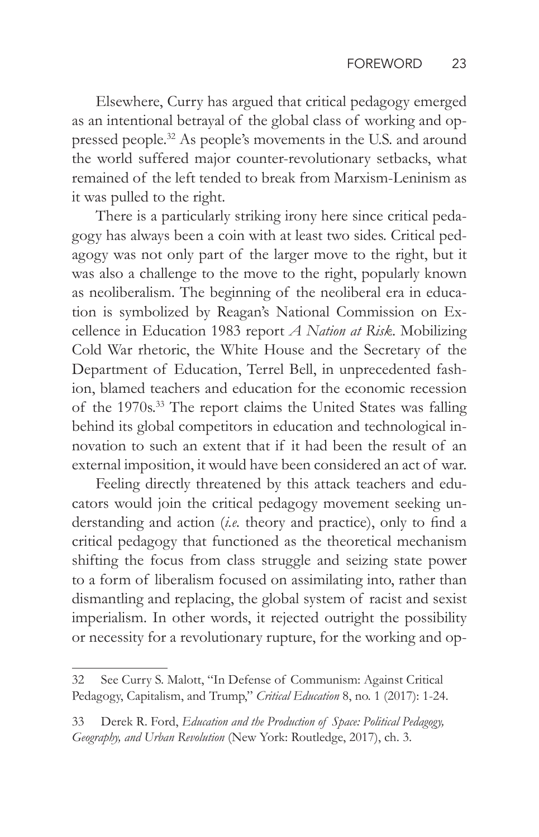Elsewhere, Curry has argued that critical pedagogy emerged as an intentional betrayal of the global class of working and oppressed people.<sup>32</sup> As people's movements in the U.S. and around the world suffered major counter-revolutionary setbacks, what remained of the left tended to break from Marxism-Leninism as it was pulled to the right.

There is a particularly striking irony here since critical pedagogy has always been a coin with at least two sides. Critical pedagogy was not only part of the larger move to the right, but it was also a challenge to the move to the right, popularly known as neoliberalism. The beginning of the neoliberal era in education is symbolized by Reagan's National Commission on Excellence in Education 1983 report *A Nation at Risk*. Mobilizing Cold War rhetoric, the White House and the Secretary of the Department of Education, Terrel Bell, in unprecedented fashion, blamed teachers and education for the economic recession of the 1970s.<sup>33</sup> The report claims the United States was falling behind its global competitors in education and technological innovation to such an extent that if it had been the result of an external imposition, it would have been considered an act of war.

Feeling directly threatened by this attack teachers and educators would join the critical pedagogy movement seeking understanding and action (*i.e.* theory and practice), only to find a critical pedagogy that functioned as the theoretical mechanism shifting the focus from class struggle and seizing state power to a form of liberalism focused on assimilating into, rather than dismantling and replacing, the global system of racist and sexist imperialism. In other words, it rejected outright the possibility or necessity for a revolutionary rupture, for the working and op-

<sup>32</sup> See Curry S. Malott, "In Defense of Communism: Against Critical Pedagogy, Capitalism, and Trump," *Critical Education* 8, no. 1 (2017): 1-24.

<sup>33</sup> Derek R. Ford, *Education and the Production of Space: Political Pedagogy, Geography, and Urban Revolution* (New York: Routledge, 2017), ch. 3.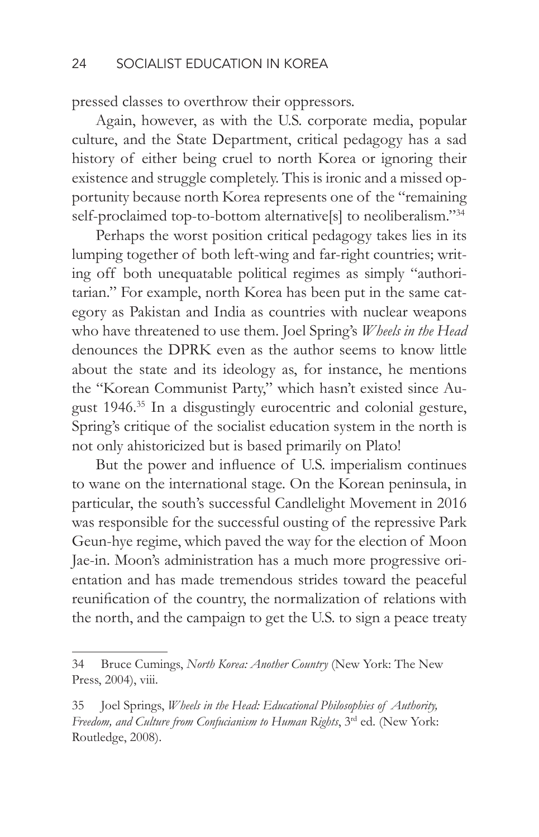pressed classes to overthrow their oppressors.

Again, however, as with the U.S. corporate media, popular culture, and the State Department, critical pedagogy has a sad history of either being cruel to north Korea or ignoring their existence and struggle completely. This is ironic and a missed opportunity because north Korea represents one of the "remaining self-proclaimed top-to-bottom alternative[s] to neoliberalism."<sup>34</sup>

Perhaps the worst position critical pedagogy takes lies in its lumping together of both left-wing and far-right countries; writing off both unequatable political regimes as simply "authoritarian." For example, north Korea has been put in the same category as Pakistan and India as countries with nuclear weapons who have threatened to use them. Joel Spring's *Wheels in the Head* denounces the DPRK even as the author seems to know little about the state and its ideology as, for instance, he mentions the "Korean Communist Party," which hasn't existed since August 1946.35 In a disgustingly eurocentric and colonial gesture, Spring's critique of the socialist education system in the north is not only ahistoricized but is based primarily on Plato!

But the power and influence of U.S. imperialism continues to wane on the international stage. On the Korean peninsula, in particular, the south's successful Candlelight Movement in 2016 was responsible for the successful ousting of the repressive Park Geun-hye regime, which paved the way for the election of Moon Jae-in. Moon's administration has a much more progressive orientation and has made tremendous strides toward the peaceful reunification of the country, the normalization of relations with the north, and the campaign to get the U.S. to sign a peace treaty

<sup>34</sup> Bruce Cumings, *North Korea: Another Country* (New York: The New Press, 2004), viii.

<sup>35</sup> Joel Springs, *Wheels in the Head: Educational Philosophies of Authority, Freedom, and Culture from Confucianism to Human Rights*, 3rd ed. (New York: Routledge, 2008).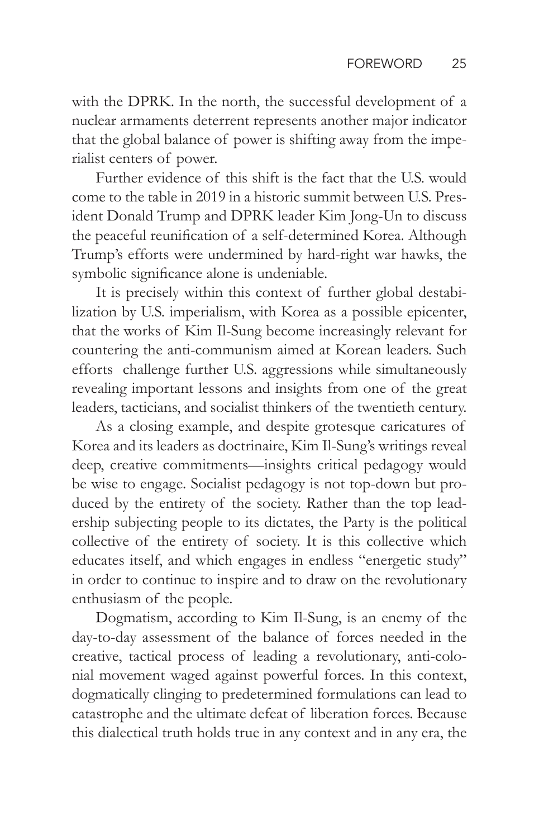with the DPRK. In the north, the successful development of a nuclear armaments deterrent represents another major indicator that the global balance of power is shifting away from the imperialist centers of power.

Further evidence of this shift is the fact that the U.S. would come to the table in 2019 in a historic summit between U.S. President Donald Trump and DPRK leader Kim Jong-Un to discuss the peaceful reunification of a self-determined Korea. Although Trump's efforts were undermined by hard-right war hawks, the symbolic significance alone is undeniable.

It is precisely within this context of further global destabilization by U.S. imperialism, with Korea as a possible epicenter, that the works of Kim Il-Sung become increasingly relevant for countering the anti-communism aimed at Korean leaders. Such efforts challenge further U.S. aggressions while simultaneously revealing important lessons and insights from one of the great leaders, tacticians, and socialist thinkers of the twentieth century.

As a closing example, and despite grotesque caricatures of Korea and its leaders as doctrinaire, Kim Il-Sung's writings reveal deep, creative commitments—insights critical pedagogy would be wise to engage. Socialist pedagogy is not top-down but produced by the entirety of the society. Rather than the top leadership subjecting people to its dictates, the Party is the political collective of the entirety of society. It is this collective which educates itself, and which engages in endless "energetic study" in order to continue to inspire and to draw on the revolutionary enthusiasm of the people.

Dogmatism, according to Kim Il-Sung, is an enemy of the day-to-day assessment of the balance of forces needed in the creative, tactical process of leading a revolutionary, anti-colonial movement waged against powerful forces. In this context, dogmatically clinging to predetermined formulations can lead to catastrophe and the ultimate defeat of liberation forces. Because this dialectical truth holds true in any context and in any era, the